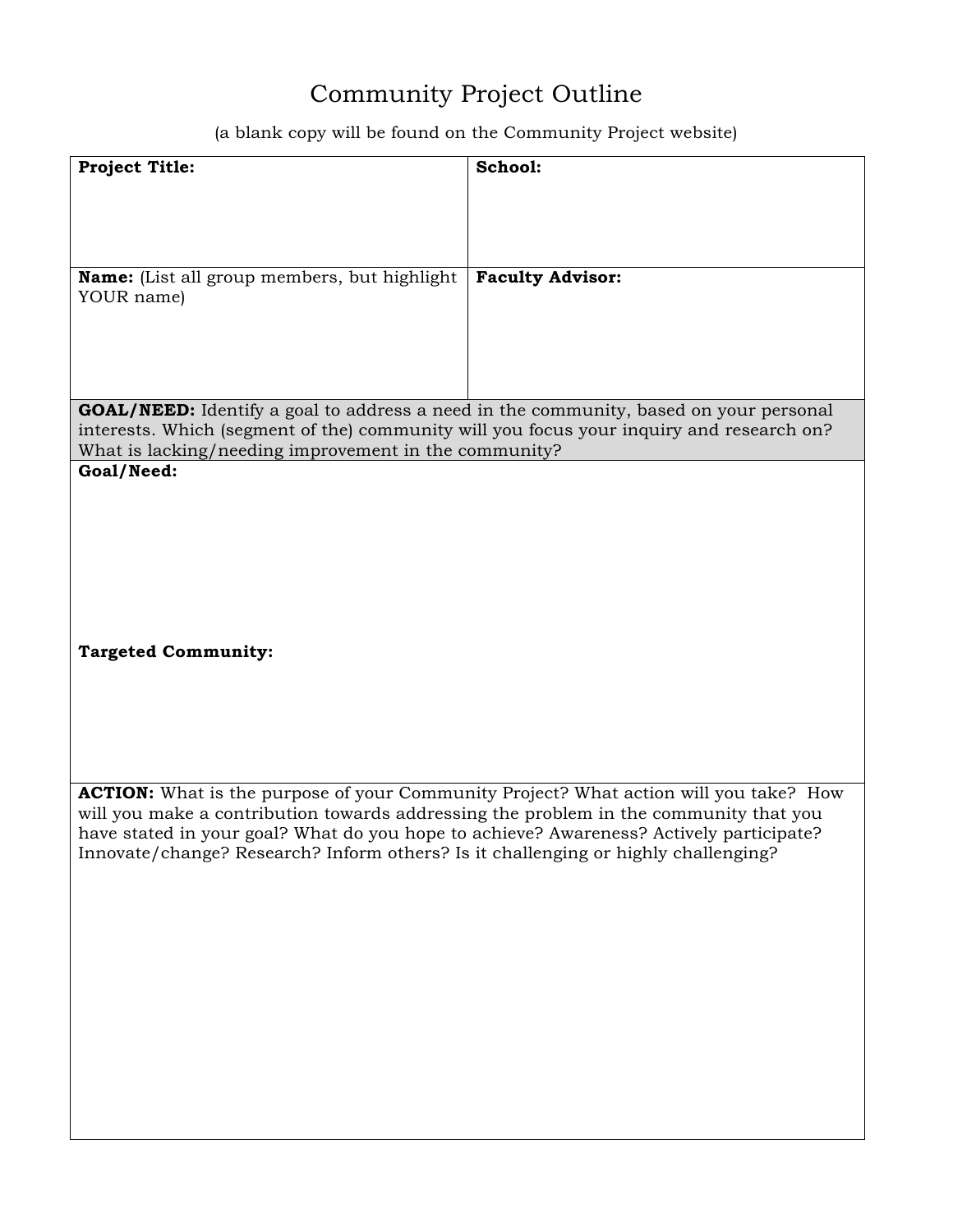## Community Project Outline

(a blank copy will be found on the Community Project website)

| <b>Project Title:</b>                                                                        | School:                 |
|----------------------------------------------------------------------------------------------|-------------------------|
|                                                                                              |                         |
|                                                                                              |                         |
|                                                                                              |                         |
|                                                                                              |                         |
| Name: (List all group members, but highlight                                                 | <b>Faculty Advisor:</b> |
| YOUR name)                                                                                   |                         |
|                                                                                              |                         |
|                                                                                              |                         |
|                                                                                              |                         |
|                                                                                              |                         |
| <b>GOAL/NEED:</b> Identify a goal to address a need in the community, based on your personal |                         |
| interests. Which (segment of the) community will you focus your inquiry and research on?     |                         |
| What is lacking/needing improvement in the community?                                        |                         |
| Goal/Need:                                                                                   |                         |
|                                                                                              |                         |
|                                                                                              |                         |
|                                                                                              |                         |
|                                                                                              |                         |
|                                                                                              |                         |
|                                                                                              |                         |
|                                                                                              |                         |
| <b>Targeted Community:</b>                                                                   |                         |
|                                                                                              |                         |
|                                                                                              |                         |
|                                                                                              |                         |
|                                                                                              |                         |
|                                                                                              |                         |
| <b>ACTION:</b> What is the purpose of your Community Project? What action will you take? How |                         |
| will you make a contribution towards addressing the problem in the community that you        |                         |
| have stated in your goal? What do you hope to achieve? Awareness? Actively participate?      |                         |
| Innovate/change? Research? Inform others? Is it challenging or highly challenging?           |                         |
|                                                                                              |                         |
|                                                                                              |                         |
|                                                                                              |                         |
|                                                                                              |                         |
|                                                                                              |                         |
|                                                                                              |                         |
|                                                                                              |                         |
|                                                                                              |                         |
|                                                                                              |                         |
|                                                                                              |                         |
|                                                                                              |                         |
|                                                                                              |                         |
|                                                                                              |                         |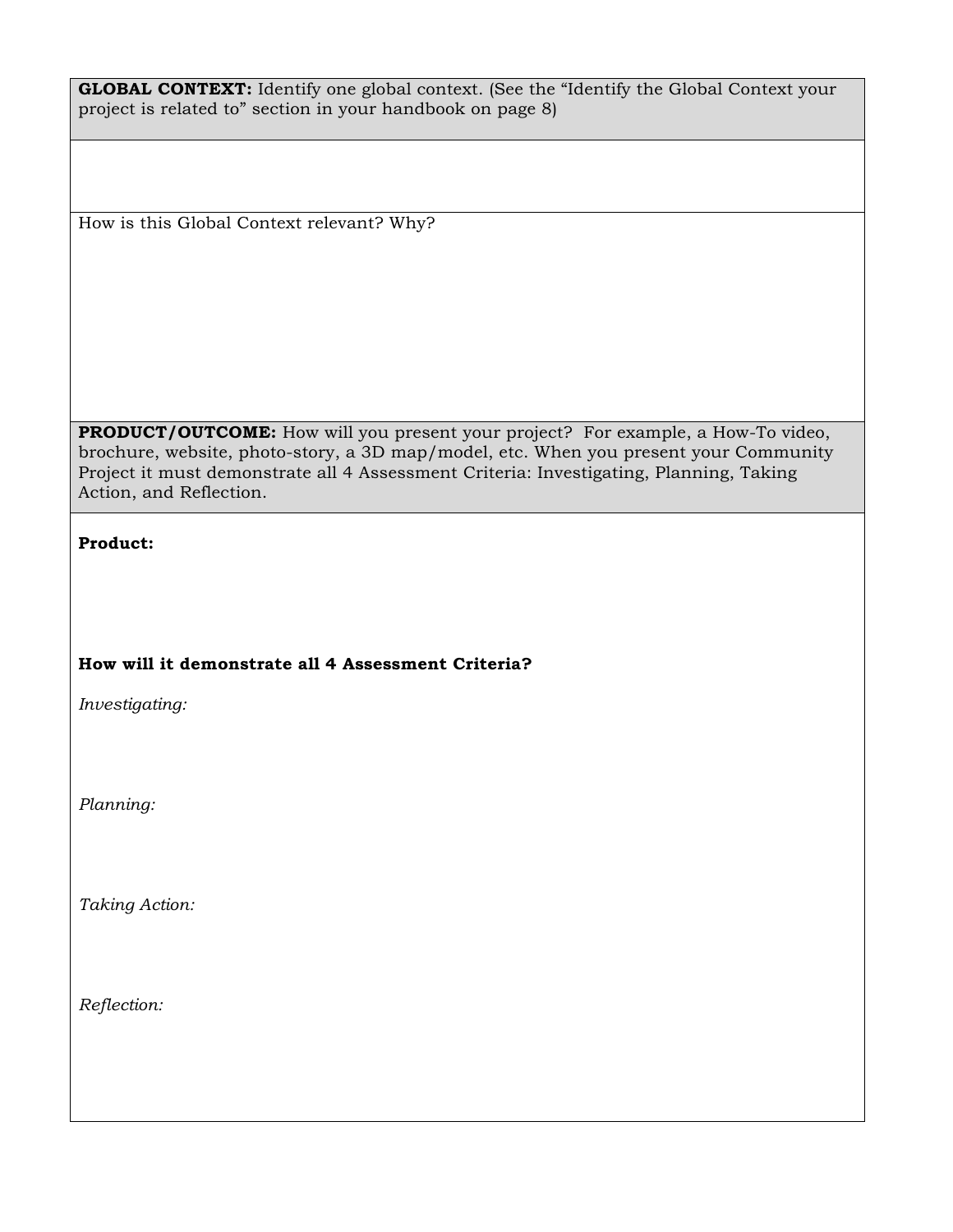| <b>GLOBAL CONTEXT:</b> Identify one global context. (See the "Identify the Global Context your |  |
|------------------------------------------------------------------------------------------------|--|
| project is related to" section in your handbook on page 8                                      |  |

How is this Global Context relevant? Why?

**PRODUCT/OUTCOME:** How will you present your project? For example, a How-To video, brochure, website, photo-story, a 3D map/model, etc. When you present your Community Project it must demonstrate all 4 Assessment Criteria: Investigating, Planning, Taking Action, and Reflection.

## **Product:**

## **How will it demonstrate all 4 Assessment Criteria?**

*Investigating:*

*Planning:*

*Taking Action:*

*Reflection:*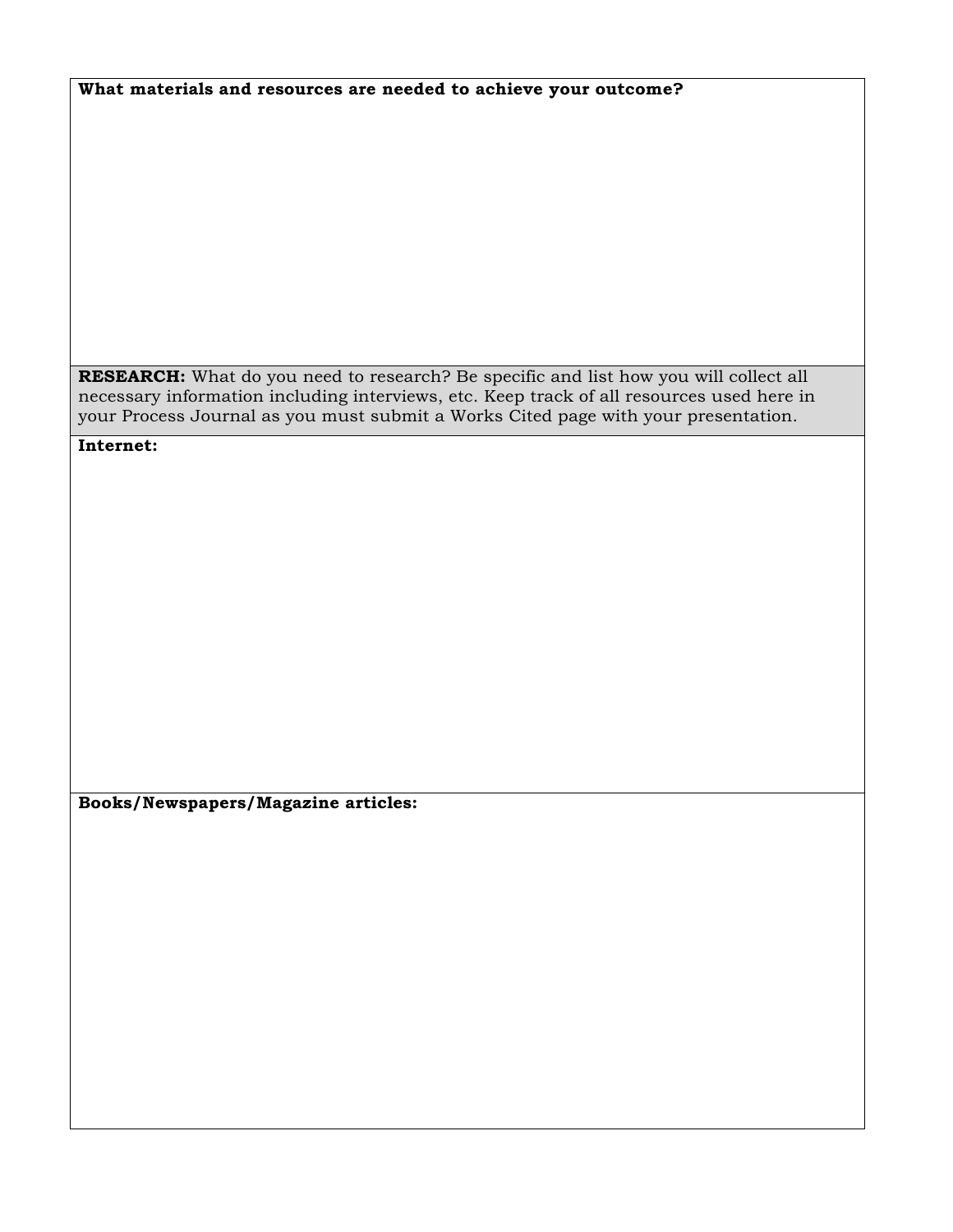| What materials and resources are needed to achieve your outcome? |
|------------------------------------------------------------------|
|------------------------------------------------------------------|

**RESEARCH:** What do you need to research? Be specific and list how you will collect all necessary information including interviews, etc. Keep track of all resources used here in your Process Journal as you must submit a Works Cited page with your presentation.

**Internet:**

**Books/Newspapers/Magazine articles:**